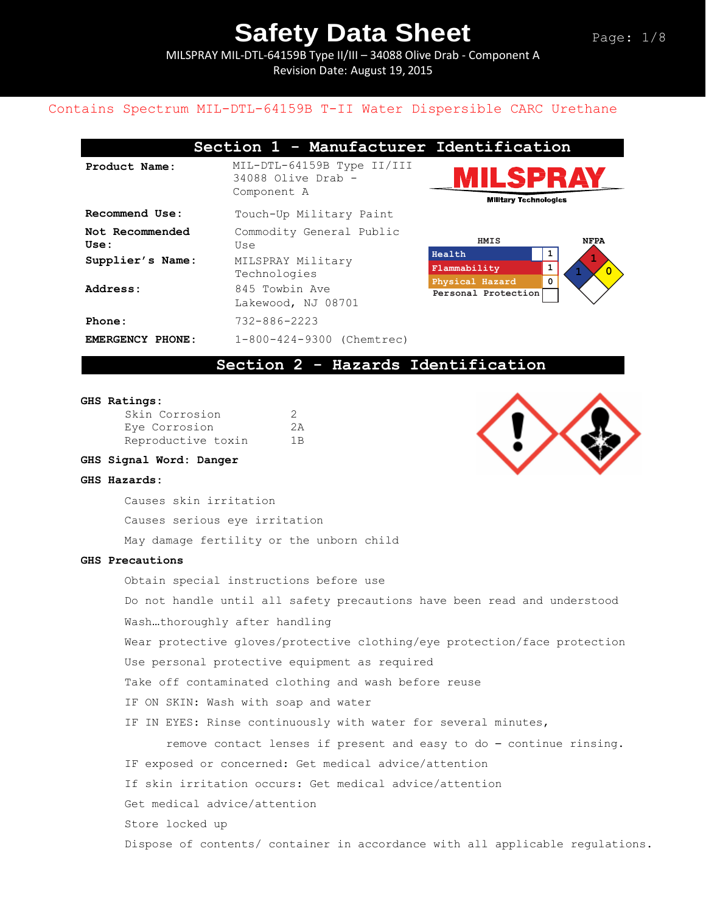MILSPRAY MIL-DTL-64159B Type II/III – 34088 Olive Drab - Component A Revision Date: August 19, 2015

### Contains Spectrum MIL-DTL-64159B T-II Water Dispersible CARC Urethane

|                 | Section 1 - Manufacturer Identification                           |                                                |
|-----------------|-------------------------------------------------------------------|------------------------------------------------|
| Product Name:   | MIL-DTL-64159B Type II/III<br>$34088$ Olive Drab -<br>Component A | <b>MILSPRA</b><br><b>Military Technologies</b> |
| Recommend Use:  | Touch-Up Military Paint                                           |                                                |
| Not Recommended | Commodity General Public                                          |                                                |



**Section 2 - Hazards Identification** 

#### **GHS Ratings:**

**Use:**

| Skin Corrosion     | 2   |
|--------------------|-----|
| Eye Corrosion      | 2A  |
| Reproductive toxin | 1 B |

Use

**EMERGENCY PHONE:** 1-800-424-9300 (Chemtrec)

Technologies

Lakewood, NJ 08701

**Supplier's Name:** MILSPRAY Military

Address: 845 Towbin Ave

**Phone:** 732-886-2223

#### **GHS Signal Word: Danger**

#### **GHS Hazards:**

Causes skin irritation

Causes serious eye irritation

May damage fertility or the unborn child

#### **GHS Precautions**

Obtain special instructions before use Do not handle until all safety precautions have been read and understood Wash…thoroughly after handling Wear protective gloves/protective clothing/eye protection/face protection Use personal protective equipment as required Take off contaminated clothing and wash before reuse IF ON SKIN: Wash with soap and water IF IN EYES: Rinse continuously with water for several minutes, remove contact lenses if present and easy to do – continue rinsing. IF exposed or concerned: Get medical advice/attention If skin irritation occurs: Get medical advice/attention Get medical advice/attention Store locked up Dispose of contents/ container in accordance with all applicable regulations.

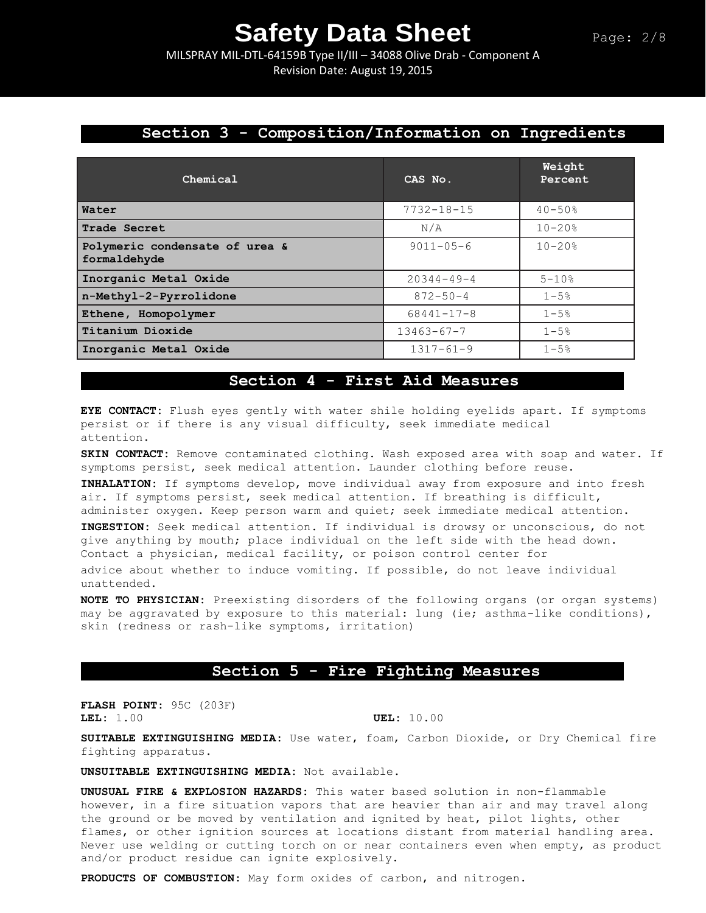MILSPRAY MIL-DTL-64159B Type II/III – 34088 Olive Drab - Component A Revision Date: August 19, 2015

# **Section 3 - Composition/Information on Ingredients**

| Chemical                                       | CAS No.          | Weight<br>Percent |
|------------------------------------------------|------------------|-------------------|
| Water                                          | $7732 - 18 - 15$ | $40 - 50%$        |
| Trade Secret                                   | N/A              | $10 - 20$ %       |
| Polymeric condensate of urea &<br>formaldehyde | $9011 - 05 - 6$  | $10 - 20$ %       |
| Inorganic Metal Oxide                          | $20344 - 49 - 4$ | $5 - 10%$         |
| n-Methyl-2-Pyrrolidone                         | $872 - 50 - 4$   | $1 - 5%$          |
| Ethene, Homopolymer                            | $68441 - 17 - 8$ | $1 - 5%$          |
| Titanium Dioxide                               | $13463 - 67 - 7$ | $1 - 5%$          |
| Inorganic Metal Oxide                          | $1317 - 61 - 9$  | $1 - 5%$          |

### **Section 4 - First Aid Measures**

**EYE CONTACT:** Flush eyes gently with water shile holding eyelids apart. If symptoms persist or if there is any visual difficulty, seek immediate medical attention.

**SKIN CONTACT:** Remove contaminated clothing. Wash exposed area with soap and water. If symptoms persist, seek medical attention. Launder clothing before reuse.

**INHALATION:** If symptoms develop, move individual away from exposure and into fresh air. If symptoms persist, seek medical attention. If breathing is difficult, administer oxygen. Keep person warm and quiet; seek immediate medical attention.

**INGESTION:** Seek medical attention. If individual is drowsy or unconscious, do not give anything by mouth; place individual on the left side with the head down. Contact a physician, medical facility, or poison control center for

advice about whether to induce vomiting. If possible, do not leave individual unattended.

**NOTE TO PHYSICIAN:** Preexisting disorders of the following organs (or organ systems) may be aggravated by exposure to this material: lung (ie; asthma-like conditions), skin (redness or rash-like symptoms, irritation)

### **Section 5 - Fire Fighting Measures**

**FLASH POINT:** 95C (203F) **LEL:** 1.00 **UEL:** 10.00

**SUITABLE EXTINGUISHING MEDIA:** Use water, foam, Carbon Dioxide, or Dry Chemical fire fighting apparatus.

**UNSUITABLE EXTINGUISHING MEDIA:** Not available.

**UNUSUAL FIRE & EXPLOSION HAZARDS:** This water based solution in non-flammable however, in a fire situation vapors that are heavier than air and may travel along the ground or be moved by ventilation and ignited by heat, pilot lights, other flames, or other ignition sources at locations distant from material handling area. Never use welding or cutting torch on or near containers even when empty, as product and/or product residue can ignite explosively.

**PRODUCTS OF COMBUSTION:** May form oxides of carbon, and nitrogen.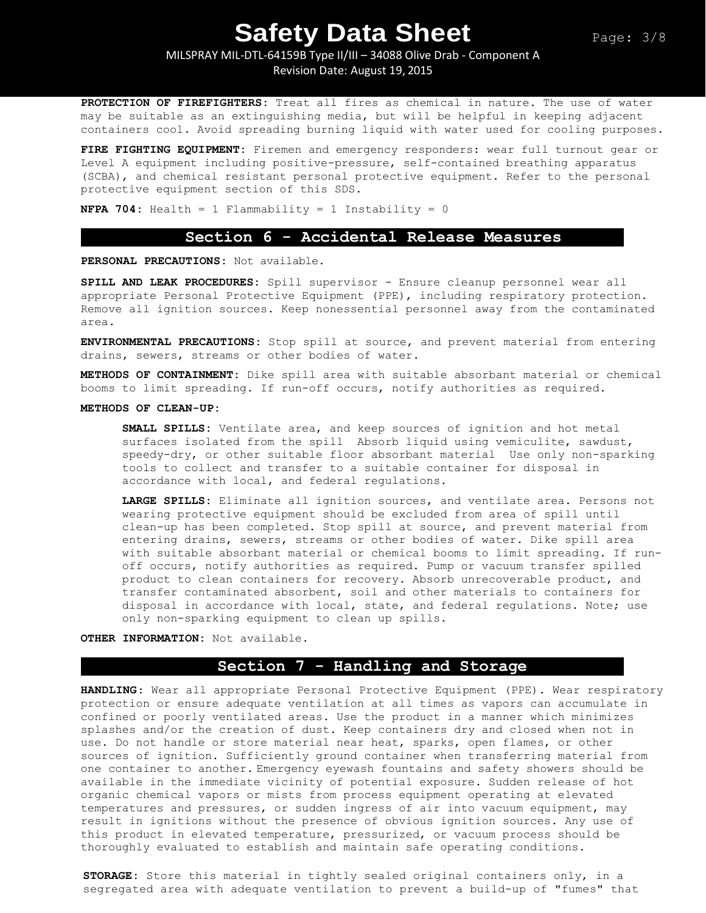MILSPRAY MIL-DTL-64159B Type II/III – 34088 Olive Drab - Component A

Revision Date: August 19, 2015

**PROTECTION OF FIREFIGHTERS:** Treat all fires as chemical in nature. The use of water may be suitable as an extinguishing media, but will be helpful in keeping adjacent containers cool. Avoid spreading burning liquid with water used for cooling purposes.

**FIRE FIGHTING EQUIPMENT:** Firemen and emergency responders: wear full turnout gear or Level A equipment including positive-pressure, self-contained breathing apparatus (SCBA), and chemical resistant personal protective equipment. Refer to the personal protective equipment section of this SDS.

**NFPA 704:** Health = 1 Flammability = 1 Instability = 0

### **Section 6 - Accidental Release Measures**

**PERSONAL PRECAUTIONS:** Not available.

**SPILL AND LEAK PROCEDURES:** Spill supervisor - Ensure cleanup personnel wear all appropriate Personal Protective Equipment (PPE), including respiratory protection. Remove all ignition sources. Keep nonessential personnel away from the contaminated area.

**ENVIRONMENTAL PRECAUTIONS:** Stop spill at source, and prevent material from entering drains, sewers, streams or other bodies of water.

**METHODS OF CONTAINMENT:** Dike spill area with suitable absorbant material or chemical booms to limit spreading. If run-off occurs, notify authorities as required.

#### **METHODS OF CLEAN-UP:**

**SMALL SPILLS:** Ventilate area, and keep sources of ignition and hot metal surfaces isolated from the spill Absorb liquid using vemiculite, sawdust, speedy-dry, or other suitable floor absorbant material Use only non-sparking tools to collect and transfer to a suitable container for disposal in accordance with local, and federal regulations.

**LARGE SPILLS:** Eliminate all ignition sources, and ventilate area. Persons not wearing protective equipment should be excluded from area of spill until clean-up has been completed. Stop spill at source, and prevent material from entering drains, sewers, streams or other bodies of water. Dike spill area with suitable absorbant material or chemical booms to limit spreading. If runoff occurs, notify authorities as required. Pump or vacuum transfer spilled product to clean containers for recovery. Absorb unrecoverable product, and transfer contaminated absorbent, soil and other materials to containers for disposal in accordance with local, state, and federal regulations. Note; use only non-sparking equipment to clean up spills.

**OTHER INFORMATION:** Not available.

# **Section 7 - Handling and Storage**

**HANDLING**: Wear all appropriate Personal Protective Equipment (PPE). Wear respiratory protection or ensure adequate ventilation at all times as vapors can accumulate in confined or poorly ventilated areas. Use the product in a manner which minimizes splashes and/or the creation of dust. Keep containers dry and closed when not in use. Do not handle or store material near heat, sparks, open flames, or other sources of ignition. Sufficiently ground container when transferring material from one container to another. Emergency eyewash fountains and safety showers should be available in the immediate vicinity of potential exposure. Sudden release of hot organic chemical vapors or mists from process equipment operating at elevated temperatures and pressures, or sudden ingress of air into vacuum equipment, may result in ignitions without the presence of obvious ignition sources. Any use of this product in elevated temperature, pressurized, or vacuum process should be thoroughly evaluated to establish and maintain safe operating conditions.

**STORAGE:** Store this material in tightly sealed original containers only, in a segregated area with adequate ventilation to prevent a build-up of "fumes" that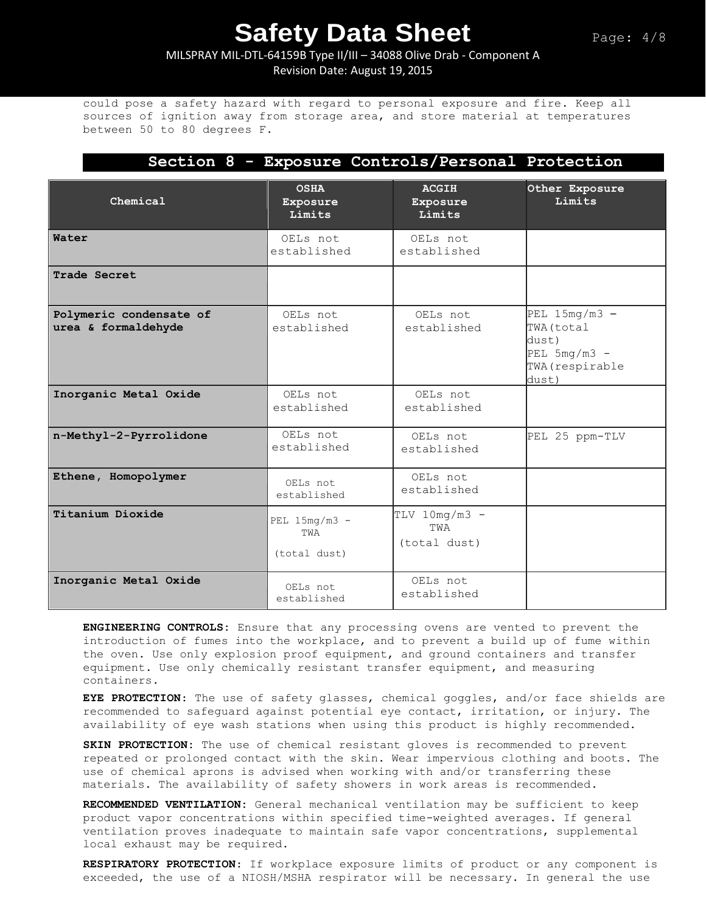# MILSPRAY MIL-DTL-64159B Type II/III – 34088 Olive Drab - Component A Revision Date: August 19, 2015

could pose a safety hazard with regard to personal exposure and fire. Keep all sources of ignition away from storage area, and store material at temperatures between 50 to 80 degrees F.

|                                                |                                        | Section 8 - Exposure Controls/Personal Protection |                                                                                      |
|------------------------------------------------|----------------------------------------|---------------------------------------------------|--------------------------------------------------------------------------------------|
| Chemical                                       | <b>OSHA</b><br>Exposure<br>Limits      | <b>ACGIH</b><br>Exposure<br>Limits                | Other Exposure<br>Limits                                                             |
| Water                                          | OELs not<br>established                | OELs not<br>established                           |                                                                                      |
| Trade Secret                                   |                                        |                                                   |                                                                                      |
| Polymeric condensate of<br>urea & formaldehyde | OELs not<br>established                | OELs not<br>established                           | PEL $15mg/m3 -$<br>TWA (total<br>dust)<br>$PEL$ 5mg/m3 -<br>TWA (respirable<br>dust) |
| Inorganic Metal Oxide                          | OELs not<br>established                | OELs not<br>established                           |                                                                                      |
| n-Methyl-2-Pyrrolidone                         | OELs not<br>established                | OELs not<br>established                           | PEL 25 ppm-TLV                                                                       |
| Ethene, Homopolymer                            | OELs not<br>established                | OELs not<br>established                           |                                                                                      |
| Titanium Dioxide                               | PEL $15mg/m3 -$<br>TWA<br>(total dust) | $TLV$ 10mg/m3 -<br>TWA<br>(total dust)            |                                                                                      |
| Inorganic Metal Oxide                          | OELs not<br>established                | OELs not<br>established                           |                                                                                      |

**ENGINEERING CONTROLS:** Ensure that any processing ovens are vented to prevent the introduction of fumes into the workplace, and to prevent a build up of fume within the oven. Use only explosion proof equipment, and ground containers and transfer equipment. Use only chemically resistant transfer equipment, and measuring containers.

**EYE PROTECTION**: The use of safety glasses, chemical goggles, and/or face shields are recommended to safeguard against potential eye contact, irritation, or injury. The availability of eye wash stations when using this product is highly recommended.

**SKIN PROTECTION:** The use of chemical resistant gloves is recommended to prevent repeated or prolonged contact with the skin. Wear impervious clothing and boots. The use of chemical aprons is advised when working with and/or transferring these materials. The availability of safety showers in work areas is recommended**.** 

**RECOMMENDED VENTILATION:** General mechanical ventilation may be sufficient to keep product vapor concentrations within specified time-weighted averages. If general ventilation proves inadequate to maintain safe vapor concentrations, supplemental local exhaust may be required.

**RESPIRATORY PROTECTION**: If workplace exposure limits of product or any component is exceeded, the use of a NIOSH/MSHA respirator will be necessary. In general the use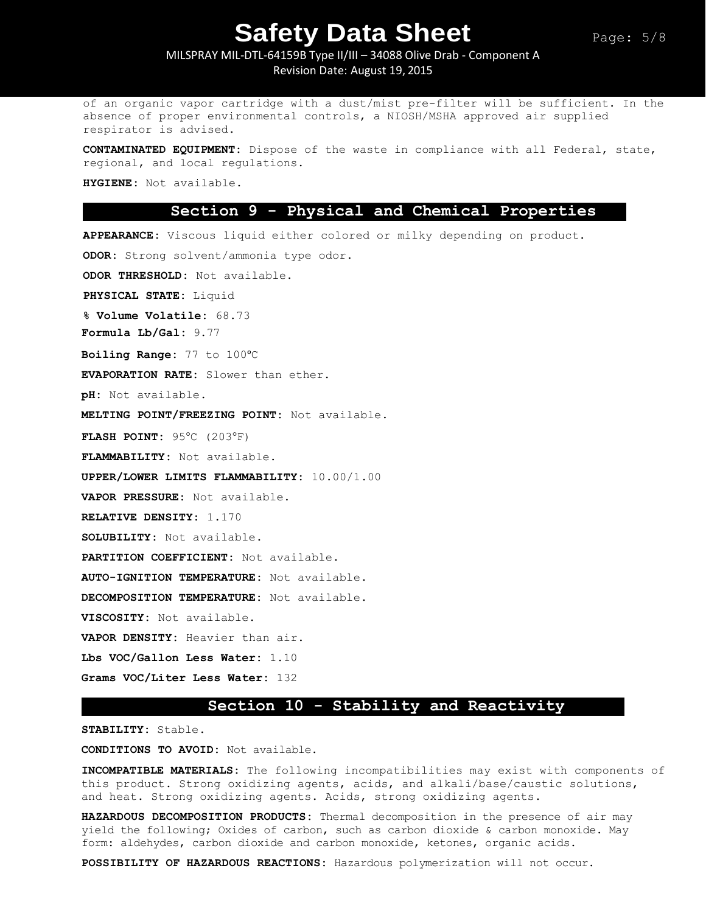# MILSPRAY MIL-DTL-64159B Type II/III – 34088 Olive Drab - Component A Revision Date: August 19, 2015

of an organic vapor cartridge with a dust/mist pre-filter will be sufficient. In the absence of proper environmental controls, a NIOSH/MSHA approved air supplied respirator is advised.

**CONTAMINATED EQUIPMENT:** Dispose of the waste in compliance with all Federal, state, regional, and local regulations.

**HYGIENE:** Not available.

### **Section 9 - Physical and Chemical Properties**

**APPEARANCE:** Viscous liquid either colored or milky depending on product.

**ODOR:** Strong solvent/ammonia type odor.

**ODOR THRESHOLD:** Not available.

**PHYSICAL STATE:** Liquid

**% Volume Volatile:** 68.73

**Formula Lb/Gal:** 9.77

**Boiling Range:** 77 to 100ᵒC

**EVAPORATION RATE:** Slower than ether.

**pH:** Not available.

**MELTING POINT/FREEZING POINT:** Not available.

**FLASH POINT:** 95°C (203°F)

**FLAMMABILITY:** Not available.

**UPPER/LOWER LIMITS FLAMMABILITY:** 10.00/1.00

**VAPOR PRESSURE:** Not available.

**RELATIVE DENSITY:** 1.170

**SOLUBILITY:** Not available.

**PARTITION COEFFICIENT:** Not available.

**AUTO-IGNITION TEMPERATURE:** Not available.

**DECOMPOSITION TEMPERATURE:** Not available.

**VISCOSITY:** Not available.

**VAPOR DENSITY:** Heavier than air.

**Lbs VOC/Gallon Less Water:** 1.10

**Grams VOC/Liter Less Water:** 132

### **Section 10 - Stability and Reactivity**

**STABILITY:** Stable.

**CONDITIONS TO AVOID:** Not available.

**INCOMPATIBLE MATERIALS:** The following incompatibilities may exist with components of this product. Strong oxidizing agents, acids, and alkali/base/caustic solutions, and heat. Strong oxidizing agents. Acids, strong oxidizing agents.

**HAZARDOUS DECOMPOSITION PRODUCTS:** Thermal decomposition in the presence of air may yield the following; Oxides of carbon, such as carbon dioxide & carbon monoxide. May form: aldehydes, carbon dioxide and carbon monoxide, ketones, organic acids.

**POSSIBILITY OF HAZARDOUS REACTIONS:** Hazardous polymerization will not occur.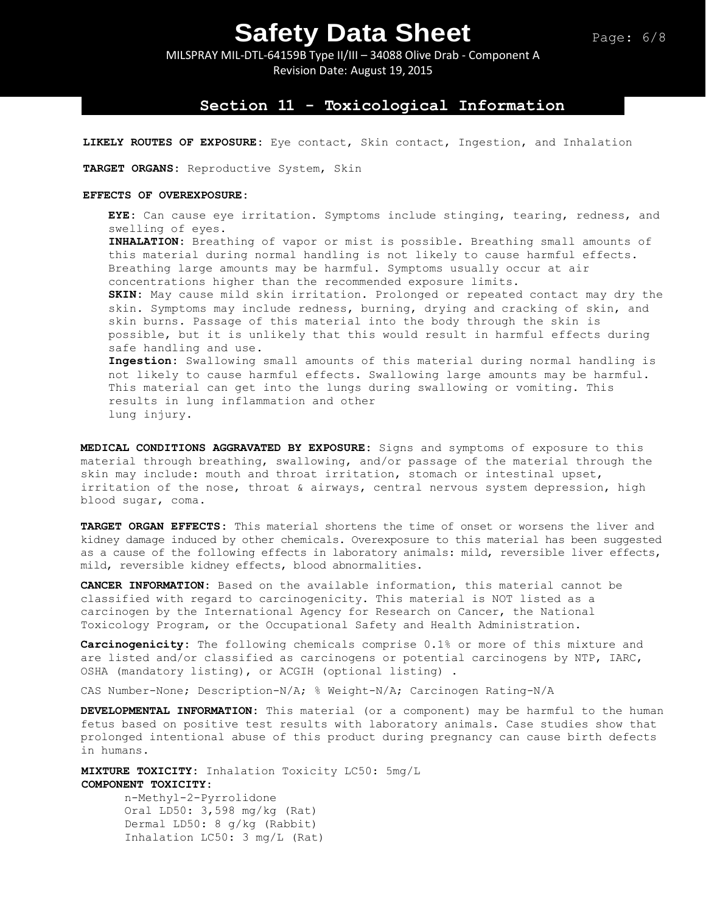MILSPRAY MIL-DTL-64159B Type II/III – 34088 Olive Drab - Component A Revision Date: August 19, 2015

### **Section 11 - Toxicological Information**

**LIKELY ROUTES OF EXPOSURE:** Eye contact, Skin contact, Ingestion, and Inhalation

**TARGET ORGANS:** Reproductive System, Skin

#### **EFFECTS OF OVEREXPOSURE:**

**EYE:** Can cause eye irritation. Symptoms include stinging, tearing, redness, and swelling of eyes. **INHALATION:** Breathing of vapor or mist is possible. Breathing small amounts of this material during normal handling is not likely to cause harmful effects. Breathing large amounts may be harmful. Symptoms usually occur at air concentrations higher than the recommended exposure limits. **SKIN:** May cause mild skin irritation. Prolonged or repeated contact may dry the skin. Symptoms may include redness, burning, drying and cracking of skin, and skin burns. Passage of this material into the body through the skin is possible, but it is unlikely that this would result in harmful effects during safe handling and use. **Ingestion:** Swallowing small amounts of this material during normal handling is not likely to cause harmful effects. Swallowing large amounts may be harmful.

This material can get into the lungs during swallowing or vomiting. This results in lung inflammation and other lung injury.

**MEDICAL CONDITIONS AGGRAVATED BY EXPOSURE:** Signs and symptoms of exposure to this material through breathing, swallowing, and/or passage of the material through the skin may include: mouth and throat irritation, stomach or intestinal upset, irritation of the nose, throat & airways, central nervous system depression, high blood sugar, coma.

**TARGET ORGAN EFFECTS:** This material shortens the time of onset or worsens the liver and kidney damage induced by other chemicals. Overexposure to this material has been suggested as a cause of the following effects in laboratory animals: mild, reversible liver effects, mild, reversible kidney effects, blood abnormalities.

**CANCER INFORMATION:** Based on the available information, this material cannot be classified with regard to carcinogenicity. This material is NOT listed as a carcinogen by the International Agency for Research on Cancer, the National Toxicology Program, or the Occupational Safety and Health Administration.

**Carcinogenicity:** The following chemicals comprise 0.1% or more of this mixture and are listed and/or classified as carcinogens or potential carcinogens by NTP, IARC, OSHA (mandatory listing), or ACGIH (optional listing) .

CAS Number-None; Description-N/A; % Weight-N/A; Carcinogen Rating-N/A

**DEVELOPMENTAL INFORMATION:** This material (or a component) may be harmful to the human fetus based on positive test results with laboratory animals. Case studies show that prolonged intentional abuse of this product during pregnancy can cause birth defects in humans.

**MIXTURE TOXICITY:** Inhalation Toxicity LC50: 5mg/L **COMPONENT TOXICITY:**

n-Methyl-2-Pyrrolidone Oral LD50: 3,598 mg/kg (Rat) Dermal LD50: 8 g/kg (Rabbit) Inhalation LC50: 3 mg/L (Rat)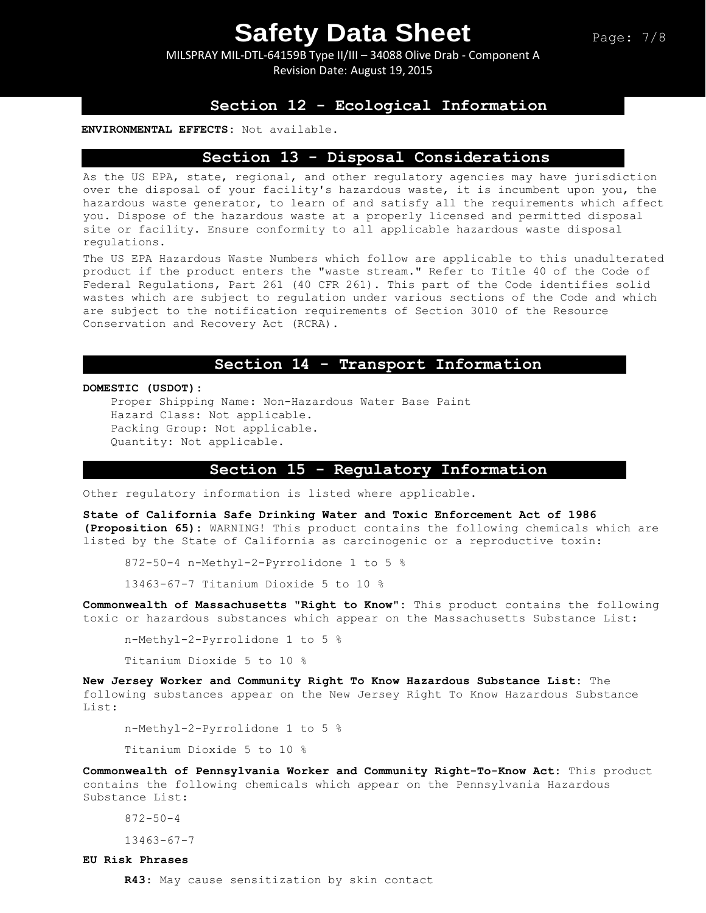MILSPRAY MIL-DTL-64159B Type II/III – 34088 Olive Drab - Component A Revision Date: August 19, 2015

# **Section 12 - Ecological Information**

#### **ENVIRONMENTAL EFFECTS:** Not available.

### **Section 13 - Disposal Considerations**

As the US EPA, state, regional, and other regulatory agencies may have jurisdiction over the disposal of your facility's hazardous waste, it is incumbent upon you, the hazardous waste generator, to learn of and satisfy all the requirements which affect you. Dispose of the hazardous waste at a properly licensed and permitted disposal site or facility. Ensure conformity to all applicable hazardous waste disposal regulations.

The US EPA Hazardous Waste Numbers which follow are applicable to this unadulterated product if the product enters the "waste stream." Refer to Title 40 of the Code of Federal Regulations, Part 261 (40 CFR 261). This part of the Code identifies solid wastes which are subject to regulation under various sections of the Code and which are subject to the notification requirements of Section 3010 of the Resource Conservation and Recovery Act (RCRA).

# **Section 14 - Transport Information**

#### **DOMESTIC (USDOT):**

Proper Shipping Name: Non-Hazardous Water Base Paint Hazard Class: Not applicable. Packing Group: Not applicable. Quantity: Not applicable.

### **Section 15 - Regulatory Information**

Other regulatory information is listed where applicable.

**State of California Safe Drinking Water and Toxic Enforcement Act of 1986 (Proposition 65):** WARNING! This product contains the following chemicals which are listed by the State of California as carcinogenic or a reproductive toxin:

872-50-4 n-Methyl-2-Pyrrolidone 1 to 5 %

13463-67-7 Titanium Dioxide 5 to 10 %

**Commonwealth of Massachusetts "Right to Know":** This product contains the following toxic or hazardous substances which appear on the Massachusetts Substance List:

n-Methyl-2-Pyrrolidone 1 to 5 %

Titanium Dioxide 5 to 10 %

**New Jersey Worker and Community Right To Know Hazardous Substance List:** The following substances appear on the New Jersey Right To Know Hazardous Substance List:

n-Methyl-2-Pyrrolidone 1 to 5 %

Titanium Dioxide 5 to 10 %

**Commonwealth of Pennsylvania Worker and Community Right-To-Know Act:** This product contains the following chemicals which appear on the Pennsylvania Hazardous Substance List:

872-50-4

13463-67-7

#### **EU Risk Phrases**

**R43**: May cause sensitization by skin contact